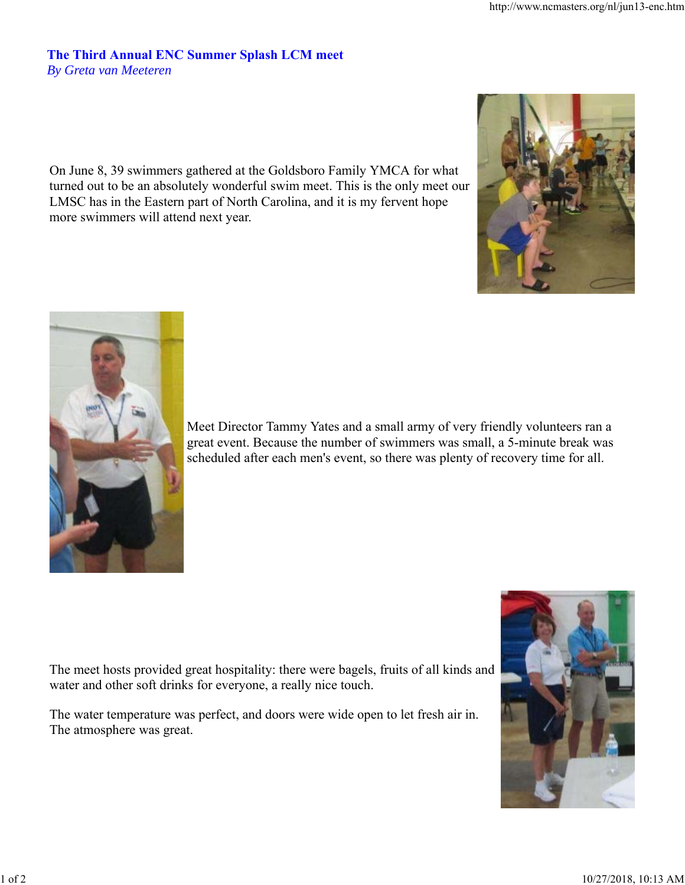## **The Third Annual ENC Summer Splash LCM meet** *By Greta van Meeteren*

On June 8, 39 swimmers gathered at the Goldsboro Family YMCA for what turned out to be an absolutely wonderful swim meet. This is the only meet our LMSC has in the Eastern part of North Carolina, and it is my fervent hope more swimmers will attend next year.





Meet Director Tammy Yates and a small army of very friendly volunteers ran a great event. Because the number of swimmers was small, a 5-minute break was scheduled after each men's event, so there was plenty of recovery time for all.

The meet hosts provided great hospitality: there were bagels, fruits of all kinds and water and other soft drinks for everyone, a really nice touch.

The water temperature was perfect, and doors were wide open to let fresh air in. The atmosphere was great.